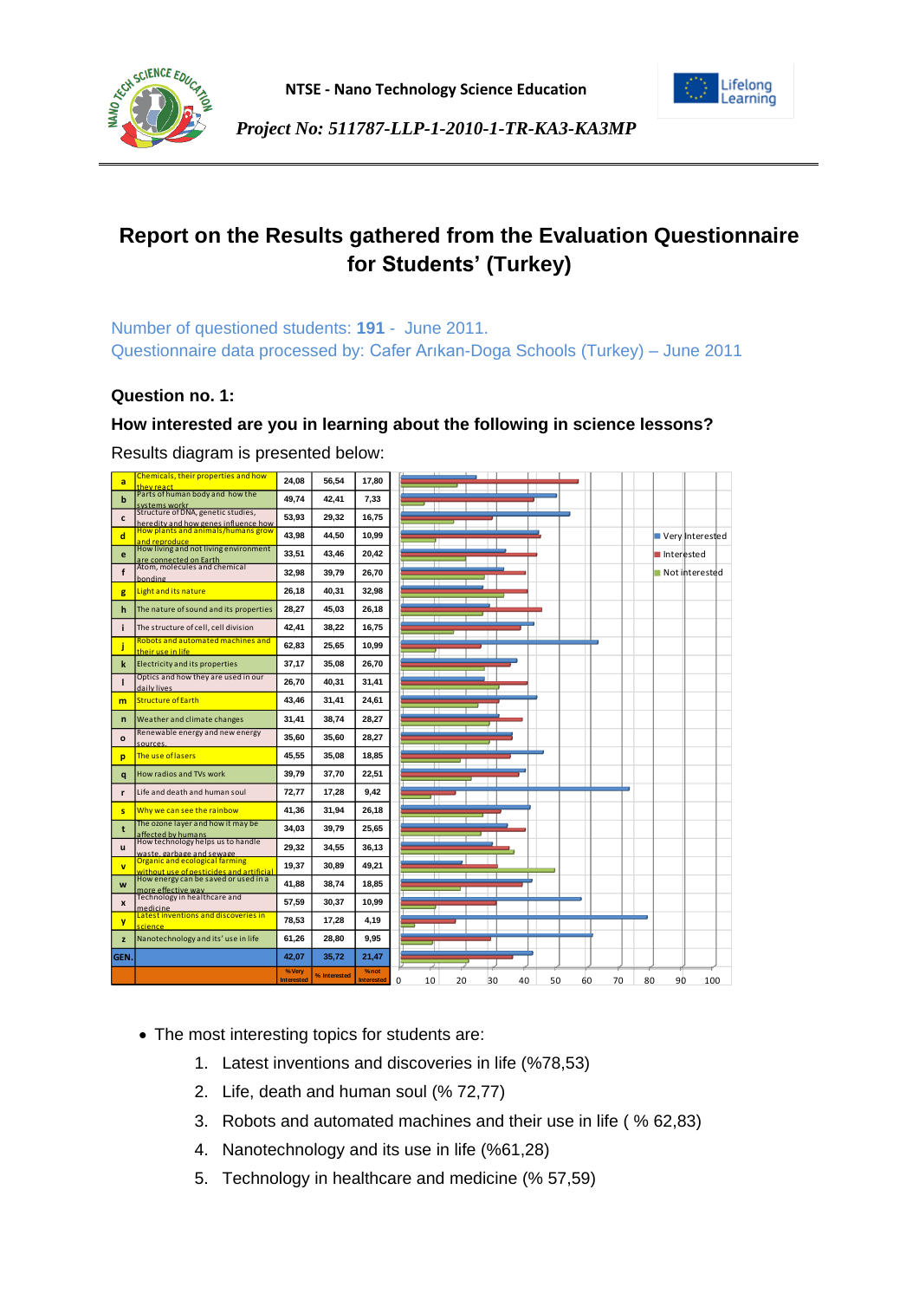



# **Report on the Results gathered from the Evaluation Questionnaire for Students' (Turkey)**

Number of questioned students: **191** - June 2011. Questionnaire data processed by: Cafer Arıkan-Doga Schools (Turkey) – June 2011

## **Question no. 1:**

## **How interested are you in learning about the following in science lessons?**



- The most interesting topics for students are:
	- 1. Latest inventions and discoveries in life (%78,53)
	- 2. Life, death and human soul (% 72,77)
	- 3. Robots and automated machines and their use in life ( % 62,83)
	- 4. Nanotechnology and its use in life (%61,28)
	- 5. Technology in healthcare and medicine (% 57,59)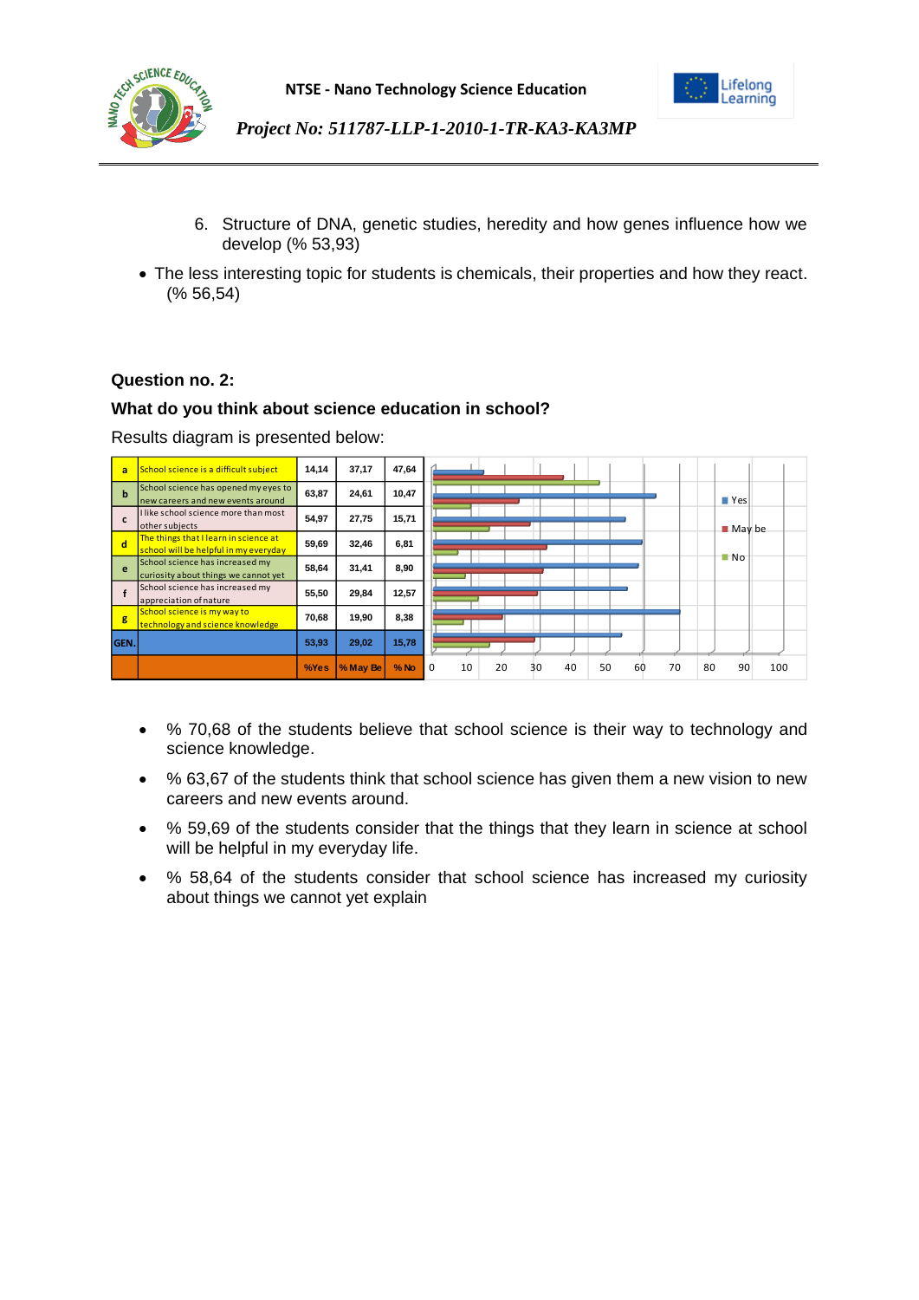



- 6. Structure of DNA, genetic studies, heredity and how genes influence how we develop (% 53,93)
- The less interesting topic for students is chemicals, their properties and how they react. (% 56,54)

## **Question no. 2:**

## **What do you think about science education in school?**

| a            | School science is a difficult subject                                          | 14,14 | 37,17    | 47,64  |                                                                       |
|--------------|--------------------------------------------------------------------------------|-------|----------|--------|-----------------------------------------------------------------------|
| $\mathbf{h}$ | School science has opened my eyes to<br>new careers and new events around      | 63.87 | 24,61    | 10,47  | $\blacksquare$ Yes                                                    |
| C            | I like school science more than most<br>other subjects                         | 54,97 | 27,75    | 15,71  | $M$ May be                                                            |
| <b>d</b>     | The things that I learn in science at<br>school will be helpful in my everyday | 59,69 | 32,46    | 6,81   |                                                                       |
| e            | School science has increased my<br>curiosity about things we cannot yet        | 58.64 | 31,41    | 8,90   | $\blacksquare$ No                                                     |
|              | School science has increased my<br>appreciation of nature                      | 55,50 | 29,84    | 12,57  |                                                                       |
| g            | School science is my way to<br>technology and science knowledge                | 70,68 | 19,90    | 8,38   |                                                                       |
| GEN.         |                                                                                | 53,93 | 29,02    | 15,78  |                                                                       |
|              |                                                                                | %Yes  | % May Be | $%$ No | 10<br>70<br>80<br>90<br>$\Omega$<br>20<br>50<br>60<br>100<br>40<br>30 |

- % 70,68 of the students believe that school science is their way to technology and science knowledge.
- % 63,67 of the students think that school science has given them a new vision to new careers and new events around.
- % 59,69 of the students consider that the things that they learn in science at school will be helpful in my everyday life.
- % 58,64 of the students consider that school science has increased my curiosity about things we cannot yet explain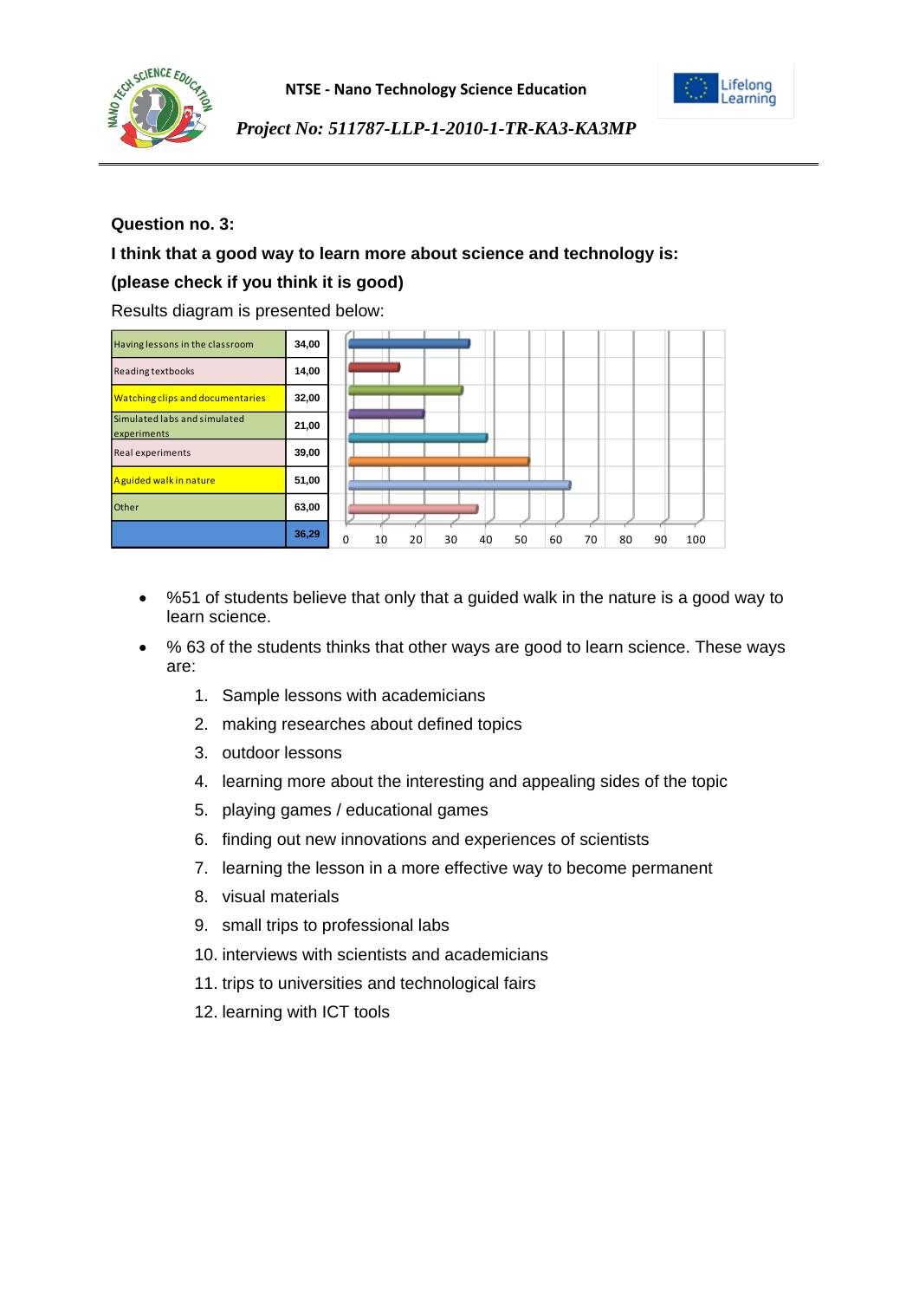



## **Question no. 3:**

## **I think that a good way to learn more about science and technology is:**

## **(please check if you think it is good)**

| Having lessons in the classroom             | 34,00 |                                                                |
|---------------------------------------------|-------|----------------------------------------------------------------|
| Reading textbooks                           | 14,00 |                                                                |
| <b>Watching clips and documentaries</b>     | 32,00 |                                                                |
| Simulated labs and simulated<br>experiments | 21,00 |                                                                |
| Real experiments                            | 39,00 |                                                                |
| A guided walk in nature                     | 51,00 |                                                                |
| Other                                       | 63,00 |                                                                |
|                                             | 36,29 | 30<br>50<br>60<br>70<br>80<br>90<br>0<br>20<br>100<br>40<br>10 |

- %51 of students believe that only that a guided walk in the nature is a good way to learn science.
- % 63 of the students thinks that other ways are good to learn science. These ways are:
	- 1. Sample lessons with academicians
	- 2. making researches about defined topics
	- 3. outdoor lessons
	- 4. learning more about the interesting and appealing sides of the topic
	- 5. playing games / educational games
	- 6. finding out new innovations and experiences of scientists
	- 7. learning the lesson in a more effective way to become permanent
	- 8. visual materials
	- 9. small trips to professional labs
	- 10. interviews with scientists and academicians
	- 11. trips to universities and technological fairs
	- 12. learning with ICT tools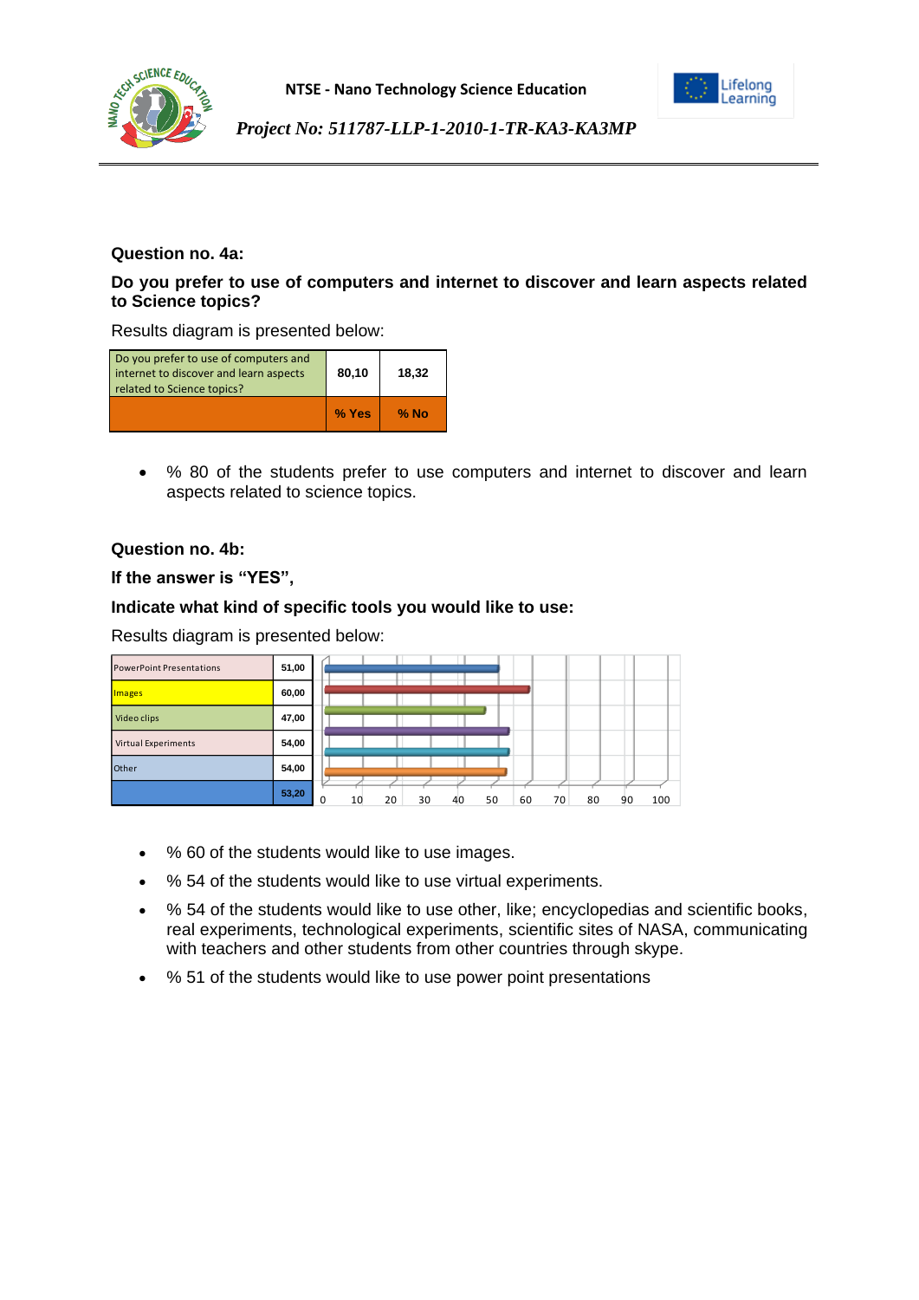



## **Question no. 4a:**

## **Do you prefer to use of computers and internet to discover and learn aspects related to Science topics?**

Results diagram is presented below:

| Do you prefer to use of computers and<br>internet to discover and learn aspects<br>related to Science topics? | 80,10 | 18,32  |  |  |
|---------------------------------------------------------------------------------------------------------------|-------|--------|--|--|
|                                                                                                               | % Yes | $%$ No |  |  |

 % 80 of the students prefer to use computers and internet to discover and learn aspects related to science topics.

## **Question no. 4b:**

**If the answer is "YES",** 

#### **Indicate what kind of specific tools you would like to use:**

| <b>PowerPoint Presentations</b> | 51,00 |   |    |    |    |    |    |    |    |    |    |     |
|---------------------------------|-------|---|----|----|----|----|----|----|----|----|----|-----|
| Images                          | 60,00 |   |    |    |    |    |    |    |    |    |    |     |
| Video clips                     | 47,00 |   |    |    |    |    |    |    |    |    |    |     |
| <b>Virtual Experiments</b>      | 54,00 |   |    |    |    |    |    |    |    |    |    |     |
| Other                           | 54,00 |   |    |    |    |    |    |    |    |    |    |     |
|                                 | 53,20 | 0 | 10 | 20 | 30 | 40 | 50 | 60 | 70 | 80 | 90 | 100 |

- % 60 of the students would like to use images.
- % 54 of the students would like to use virtual experiments.
- % 54 of the students would like to use other, like; encyclopedias and scientific books, real experiments, technological experiments, scientific sites of NASA, communicating with teachers and other students from other countries through skype.
- % 51 of the students would like to use power point presentations